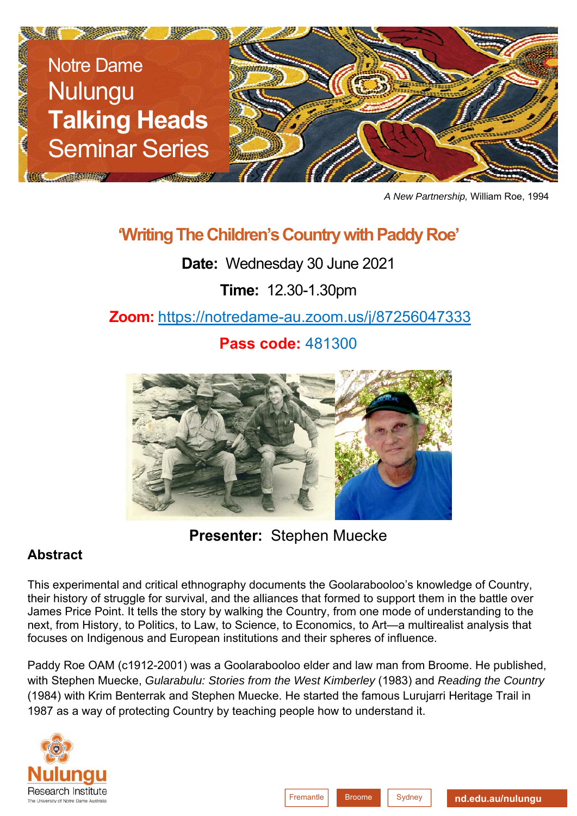

*A New Partnership,* William Roe, 1994

## **'Writing The Children's Country with Paddy Roe'**

**Date:** Wednesday 30 June 2021

**Time:** 12.30-1.30pm

**Zoom:** https://notredame-au.zoom.us/j/87256047333

**Pass code:** 481300



**Presenter:** Stephen Muecke

## **Abstract**

This experimental and critical ethnography documents the Goolarabooloo's knowledge of Country, their history of struggle for survival, and the alliances that formed to support them in the battle over James Price Point. It tells the story by walking the Country, from one mode of understanding to the next, from History, to Politics, to Law, to Science, to Economics, to Art—a multirealist analysis that focuses on Indigenous and European institutions and their spheres of influence.

Paddy Roe OAM (c1912-2001) was a Goolarabooloo elder and law man from Broome. He published, with Stephen Muecke, *Gularabulu: Stories from the West Kimberley* (1983) and *Reading the Country* (1984) with Krim Benterrak and Stephen Muecke. He started the famous Lurujarri Heritage Trail in 1987 as a way of protecting Country by teaching people how to understand it.